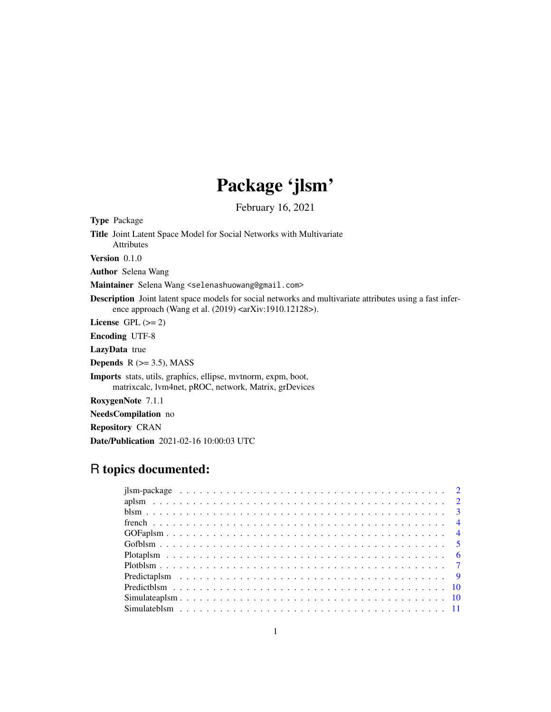# Package 'jlsm'

February 16, 2021

<span id="page-0-0"></span>Type Package

Title Joint Latent Space Model for Social Networks with Multivariate Attributes Version 0.1.0 Author Selena Wang Maintainer Selena Wang <selenashuowang@gmail.com> Description Joint latent space models for social networks and multivariate attributes using a fast inference approach (Wang et al. (2019) <arXiv:1910.12128>). License GPL  $(>= 2)$ Encoding UTF-8 LazyData true Depends  $R$  ( $>=$  3.5), MASS Imports stats, utils, graphics, ellipse, mvtnorm, expm, boot, matrixcalc, lvm4net, pROC, network, Matrix, grDevices RoxygenNote 7.1.1 NeedsCompilation no Repository CRAN Date/Publication 2021-02-16 10:00:03 UTC

# R topics documented: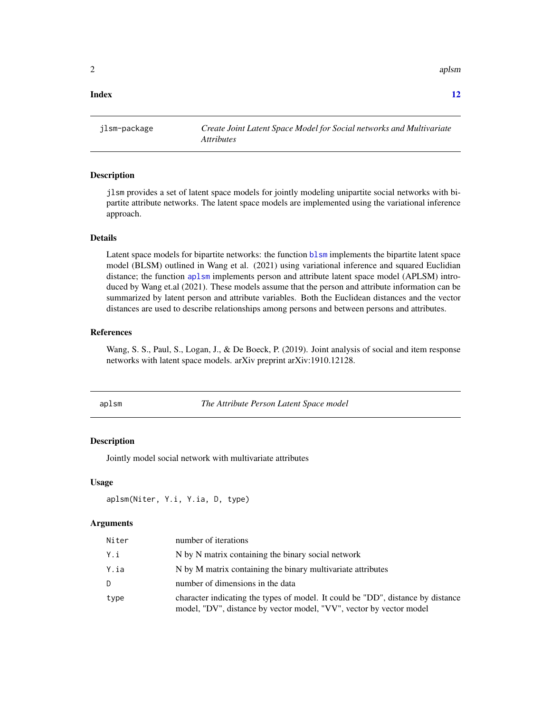<span id="page-1-0"></span> $2 \tap{2}$ 

#### **Index** [12](#page-11-0)

jlsm-package *Create Joint Latent Space Model for Social networks and Multivariate Attributes*

#### Description

jlsm provides a set of latent space models for jointly modeling unipartite social networks with bipartite attribute networks. The latent space models are implemented using the variational inference approach.

#### Details

Latent space models for bipartite networks: the function [blsm](#page-2-1) implements the bipartite latent space model (BLSM) outlined in Wang et al. (2021) using variational inference and squared Euclidian distance; the function [aplsm](#page-1-1) implements person and attribute latent space model (APLSM) introduced by Wang et.al (2021). These models assume that the person and attribute information can be summarized by latent person and attribute variables. Both the Euclidean distances and the vector distances are used to describe relationships among persons and between persons and attributes.

### References

Wang, S. S., Paul, S., Logan, J., & De Boeck, P. (2019). Joint analysis of social and item response networks with latent space models. arXiv preprint arXiv:1910.12128.

<span id="page-1-1"></span>aplsm *The Attribute Person Latent Space model*

#### **Description**

Jointly model social network with multivariate attributes

#### Usage

aplsm(Niter, Y.i, Y.ia, D, type)

| Niter | number of iterations                                                                                                                                   |
|-------|--------------------------------------------------------------------------------------------------------------------------------------------------------|
| Y.i   | N by N matrix containing the binary social network                                                                                                     |
| Y.ia  | N by M matrix containing the binary multivariate attributes                                                                                            |
| D     | number of dimensions in the data                                                                                                                       |
| type  | character indicating the types of model. It could be "DD", distance by distance<br>model, "DV", distance by vector model, "VV", vector by vector model |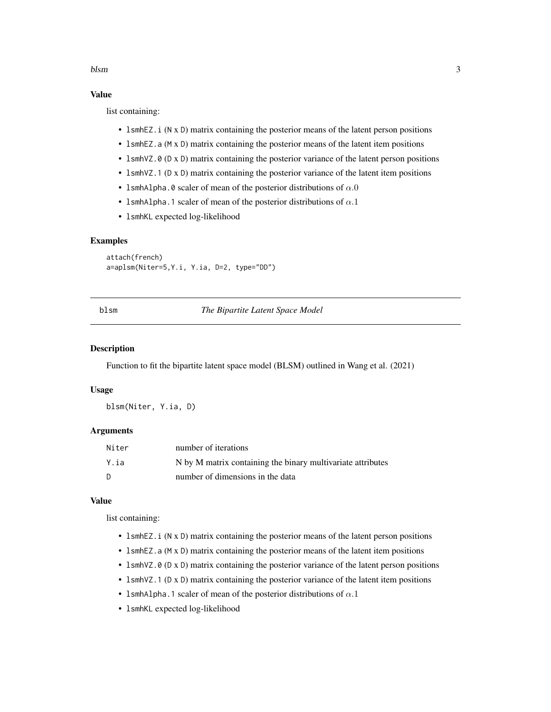#### <span id="page-2-0"></span>blsm 3

# Value

list containing:

- 1smhEZ. i (N x D) matrix containing the posterior means of the latent person positions
- IsmhEZ.a (M x D) matrix containing the posterior means of the latent item positions
- 1smhVZ.0 (D x D) matrix containing the posterior variance of the latent person positions
- 1smhVZ.1 (D x D) matrix containing the posterior variance of the latent item positions
- 1smhAlpha.0 scaler of mean of the posterior distributions of  $\alpha.0$
- 1smhAlpha.1 scaler of mean of the posterior distributions of  $\alpha.1$
- lsmhKL expected log-likelihood

# Examples

```
attach(french)
a=aplsm(Niter=5,Y.i, Y.ia, D=2, type="DD")
```
<span id="page-2-1"></span>blsm *The Bipartite Latent Space Model*

#### Description

Function to fit the bipartite latent space model (BLSM) outlined in Wang et al. (2021)

#### Usage

blsm(Niter, Y.ia, D)

# Arguments

| Niter | number of iterations                                        |
|-------|-------------------------------------------------------------|
| Y.ia  | N by M matrix containing the binary multivariate attributes |
| D.    | number of dimensions in the data                            |

#### Value

list containing:

- 1smhEZ. i (N x D) matrix containing the posterior means of the latent person positions
- lsmhEZ.a (M x D) matrix containing the posterior means of the latent item positions
- 1smhVZ.0 (D x D) matrix containing the posterior variance of the latent person positions
- 1smhVZ.1 (D x D) matrix containing the posterior variance of the latent item positions
- 1smhAlpha.1 scaler of mean of the posterior distributions of  $\alpha$ .1
- lsmhKL expected log-likelihood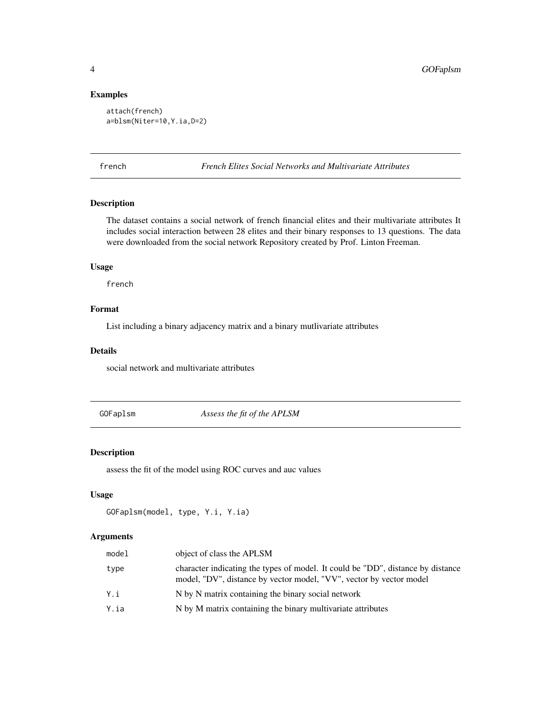# Examples

```
attach(french)
a=blsm(Niter=10,Y.ia,D=2)
```
french *French Elites Social Networks and Multivariate Attributes*

# Description

The dataset contains a social network of french financial elites and their multivariate attributes It includes social interaction between 28 elites and their binary responses to 13 questions. The data were downloaded from the social network Repository created by Prof. Linton Freeman.

# Usage

french

# Format

List including a binary adjacency matrix and a binary mutlivariate attributes

#### Details

social network and multivariate attributes

GOFaplsm *Assess the fit of the APLSM*

#### Description

assess the fit of the model using ROC curves and auc values

# Usage

```
GOFaplsm(model, type, Y.i, Y.ia)
```

| model | object of class the APLSM                                                                                                                              |
|-------|--------------------------------------------------------------------------------------------------------------------------------------------------------|
| type  | character indicating the types of model. It could be "DD", distance by distance<br>model, "DV", distance by vector model, "VV", vector by vector model |
| Yi    | N by N matrix containing the binary social network                                                                                                     |
| Y.ia  | N by M matrix containing the binary multivariate attributes                                                                                            |

<span id="page-3-0"></span>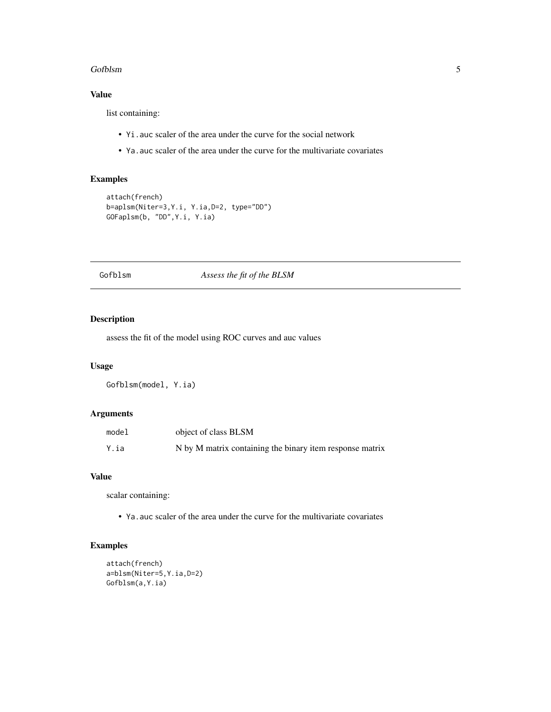#### <span id="page-4-0"></span>Gofblsm 5

# Value

list containing:

- Yi.auc scaler of the area under the curve for the social network
- Ya.auc scaler of the area under the curve for the multivariate covariates

# Examples

```
attach(french)
b=aplsm(Niter=3,Y.i, Y.ia,D=2, type="DD")
GOFaplsm(b, "DD",Y.i, Y.ia)
```
#### Gofblsm *Assess the fit of the BLSM*

#### Description

assess the fit of the model using ROC curves and auc values

# Usage

Gofblsm(model, Y.ia)

# Arguments

| model | object of class BLSM                                     |
|-------|----------------------------------------------------------|
| Y.ia  | N by M matrix containing the binary item response matrix |

#### Value

scalar containing:

• Ya.auc scaler of the area under the curve for the multivariate covariates

# Examples

```
attach(french)
a=blsm(Niter=5,Y.ia,D=2)
Gofblsm(a,Y.ia)
```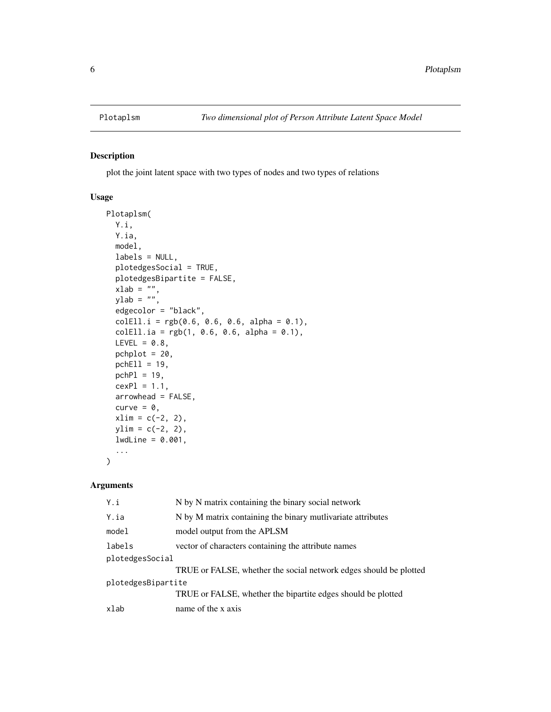<span id="page-5-0"></span>

# Description

plot the joint latent space with two types of nodes and two types of relations

#### Usage

```
Plotaplsm(
 Y.i,
  Y.ia,
 model,
  labels = NULL,
 plotedgesSocial = TRUE,
 plotedgesBipartite = FALSE,
  xlab = ",
  ylab = "",
  edgecolor = "black",
  colEll.i = rgb(0.6, 0.6, 0.6, alpha = 0.1),colEll.ia = rgb(1, 0.6, 0.6, alpha = 0.1),LEVEL = 0.8,
 pchplot = 20,
 pchE11 = 19,
 pchPI = 19,
  cexPl = 1.1,
  arrowhead = FALSE,
  curve = \theta,
  xlim = c(-2, 2),
 ylim = c(-2, 2),lwdLine = 0.001,...
\mathcal{L}
```

| Y.i                | N by N matrix containing the binary social network                |
|--------------------|-------------------------------------------------------------------|
| Y.ia               | N by M matrix containing the binary mutlivariate attributes       |
| model              | model output from the APLSM                                       |
| labels             | vector of characters containing the attribute names               |
| plotedgesSocial    |                                                                   |
|                    | TRUE or FALSE, whether the social network edges should be plotted |
| plotedgesBipartite |                                                                   |
|                    | TRUE or FALSE, whether the bipartite edges should be plotted      |
| xlab               | name of the x axis                                                |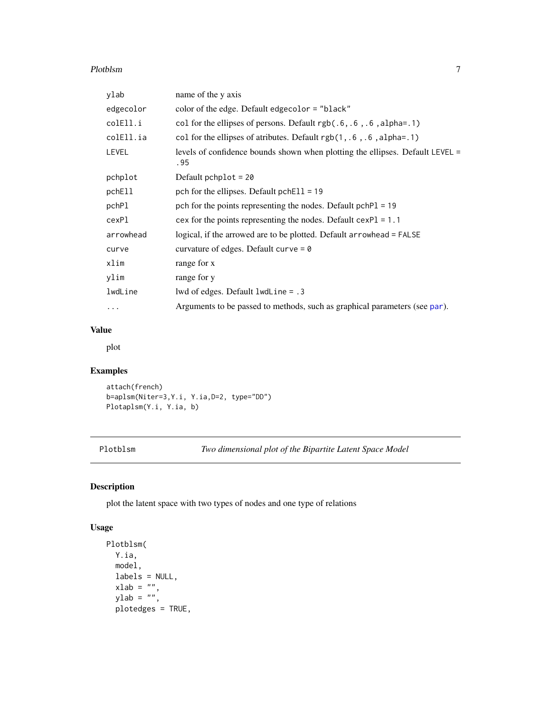#### <span id="page-6-0"></span>Plotblsm 2008 and 2008 and 2008 and 2008 and 2008 and 2008 and 2008 and 2008 and 2008 and 2008 and 2008 and 20

| ylab         | name of the y axis                                                                     |
|--------------|----------------------------------------------------------------------------------------|
| edgecolor    | color of the edge. Default edge color = "black"                                        |
| colEll.i     | col for the ellipses of persons. Default $rgb(.6, .6, .6, alpha=.1)$                   |
| colEll.ia    | col for the ellipses of atributes. Default $rgb(1, .6, .6, alpha=.1)$                  |
| <b>LEVEL</b> | levels of confidence bounds shown when plotting the ellipses. Default LEVEL $=$<br>.95 |
| pchplot      | Default pchplot = $20$                                                                 |
| pchEll       | pch for the ellipses. Default pchEll = $19$                                            |
| pchPl        | pch for the points representing the nodes. Default pchP1 = 19                          |
| cexP1        | cex for the points representing the nodes. Default $cexPI = 1.1$                       |
| arrowhead    | logical, if the arrowed are to be plotted. Default arrowhead = FALSE                   |
| curve        | curvature of edges. Default curve = $\theta$                                           |
| xlim         | range for x                                                                            |
| ylim         | range for y                                                                            |
| lwdLine      | lwd of edges. Default $l$ wd Line = .3                                                 |
| $\cdots$     | Arguments to be passed to methods, such as graphical parameters (see par).             |

# Value

plot

# Examples

attach(french) b=aplsm(Niter=3,Y.i, Y.ia,D=2, type="DD") Plotaplsm(Y.i, Y.ia, b)

Plotblsm *Two dimensional plot of the Bipartite Latent Space Model*

# Description

plot the latent space with two types of nodes and one type of relations

# Usage

```
Plotblsm(
 Y.ia,
 model,
 labels = NULL,
  xlab = ",
  ylab = ",
 plotedges = TRUE,
```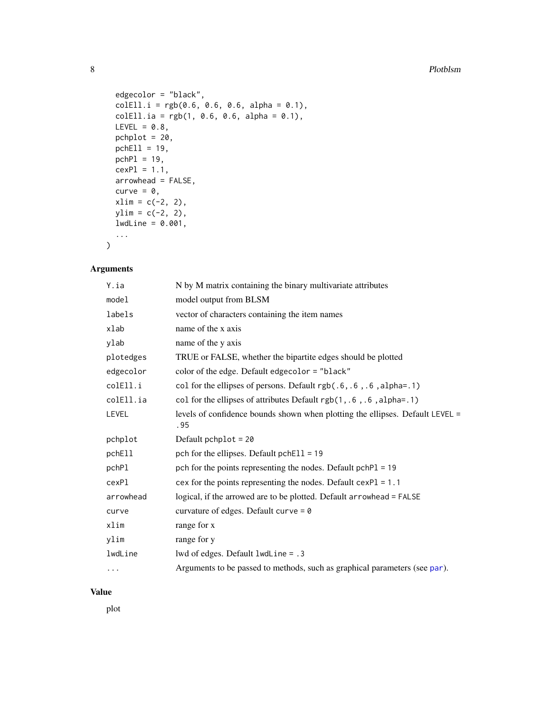```
edgecolor = "black",
 colEll.i = rgb(0.6, 0.6, 0.6, alpha = 0.1),colEll.ia = rgb(1, 0.6, 0.6, alpha = 0.1),LEVEL = 0.8,
 pchplot = 20,
 pchEll = 19,
 pchPI = 19,
 cexP1 = 1.1,
 arrowhead = FALSE,
 curve = \theta,
 xlim = c(-2, 2),ylim = c(-2, 2),1wdLine = 0.001,
  ...
\mathcal{L}
```
# Arguments

| Y.ia      | N by M matrix containing the binary multivariate attributes                          |
|-----------|--------------------------------------------------------------------------------------|
| model     | model output from BLSM                                                               |
| labels    | vector of characters containing the item names                                       |
| xlab      | name of the x axis                                                                   |
| ylab      | name of the y axis                                                                   |
| plotedges | TRUE or FALSE, whether the bipartite edges should be plotted                         |
| edgecolor | color of the edge. Default edgecolor = "black"                                       |
| colEll.i  | col for the ellipses of persons. Default rgb(.6, .6, .6, alpha=.1)                   |
| colEll.ia | col for the ellipses of attributes Default $rgb(1, .6, .6, alpha=.1)$                |
| LEVEL     | levels of confidence bounds shown when plotting the ellipses. Default LEVEL =<br>.95 |
| pchplot   | Default pchplot = $20$                                                               |
| pchEll    | pch for the ellipses. Default $pchE11 = 19$                                          |
| pchPl     | pch for the points representing the nodes. Default pchP1 = 19                        |
| cexPl     | cex for the points representing the nodes. Default $cexPI = 1.1$                     |
| arrowhead | logical, if the arrowed are to be plotted. Default arrowhead = FALSE                 |
| curve     | curvature of edges. Default curve = $\theta$                                         |
| xlim      | range for x                                                                          |
| ylim      | range for y                                                                          |
| lwdLine   | lwd of edges. Default lwdLine = .3                                                   |
| $\cdots$  | Arguments to be passed to methods, such as graphical parameters (see par).           |

#### Value

plot

<span id="page-7-0"></span>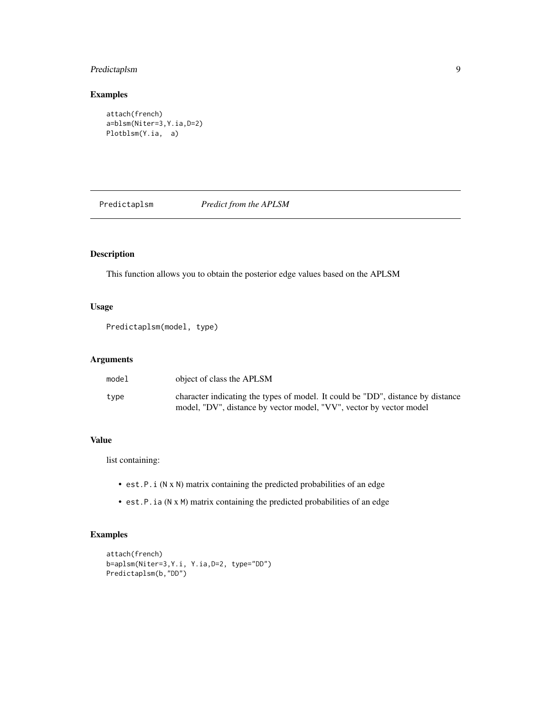# <span id="page-8-0"></span>Predictaplsm 9

# Examples

```
attach(french)
a=blsm(Niter=3,Y.ia,D=2)
Plotblsm(Y.ia, a)
```
Predictaplsm *Predict from the APLSM*

# Description

This function allows you to obtain the posterior edge values based on the APLSM

# Usage

Predictaplsm(model, type)

#### Arguments

| model | object of class the APLSM                                                                                                                              |
|-------|--------------------------------------------------------------------------------------------------------------------------------------------------------|
| type  | character indicating the types of model. It could be "DD", distance by distance<br>model, "DV", distance by vector model, "VV", vector by vector model |

# Value

list containing:

- est.P.i (N x N) matrix containing the predicted probabilities of an edge
- est.P.ia (N x M) matrix containing the predicted probabilities of an edge

# Examples

```
attach(french)
b=aplsm(Niter=3,Y.i, Y.ia,D=2, type="DD")
Predictaplsm(b,"DD")
```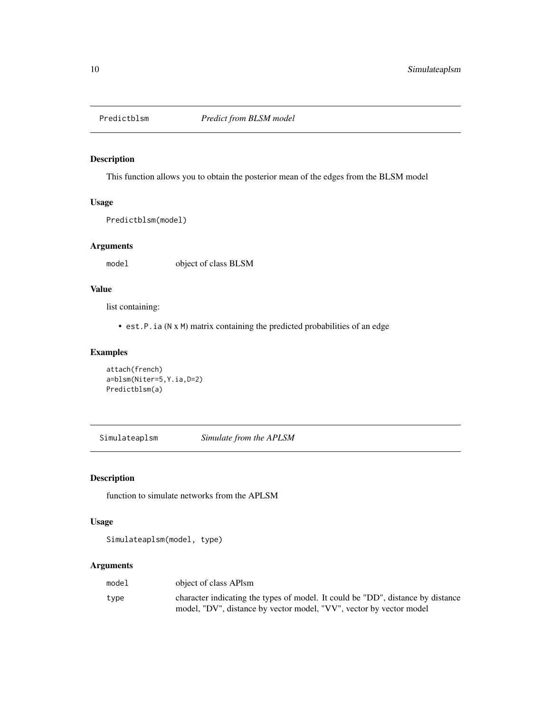<span id="page-9-0"></span>

# Description

This function allows you to obtain the posterior mean of the edges from the BLSM model

# Usage

Predictblsm(model)

### Arguments

model object of class BLSM

# Value

list containing:

• est.P.ia (N x M) matrix containing the predicted probabilities of an edge

# Examples

```
attach(french)
a=blsm(Niter=5,Y.ia,D=2)
Predictblsm(a)
```
Simulateaplsm *Simulate from the APLSM*

#### Description

function to simulate networks from the APLSM

# Usage

Simulateaplsm(model, type)

| model | object of class APIsm                                                           |
|-------|---------------------------------------------------------------------------------|
| type  | character indicating the types of model. It could be "DD", distance by distance |
|       | model, "DV", distance by vector model, "VV", vector by vector model             |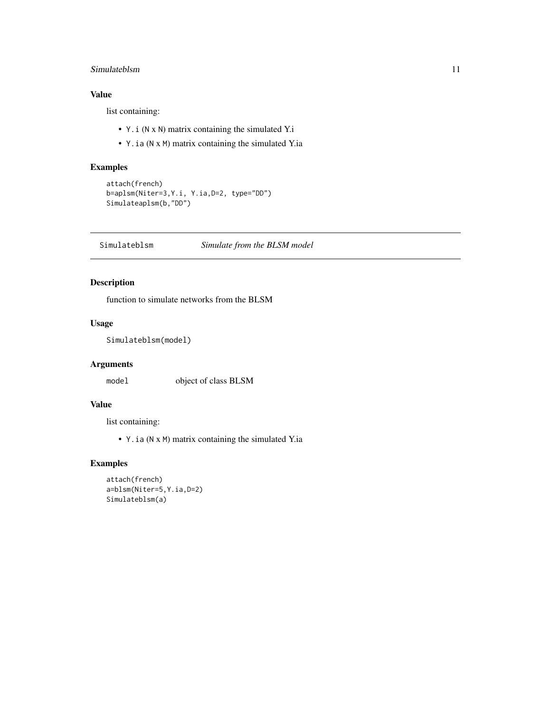# <span id="page-10-0"></span>Simulateblsm 11

# Value

list containing:

- Y.i (N x N) matrix containing the simulated Y.i
- Y.ia (N x M) matrix containing the simulated Y.ia

# Examples

```
attach(french)
b=aplsm(Niter=3,Y.i, Y.ia,D=2, type="DD")
Simulateaplsm(b,"DD")
```
Simulateblsm *Simulate from the BLSM model*

# Description

function to simulate networks from the BLSM

# Usage

Simulateblsm(model)

# Arguments

model object of class BLSM

# Value

list containing:

• Y.ia (N x M) matrix containing the simulated Y.ia

# Examples

```
attach(french)
a=blsm(Niter=5,Y.ia,D=2)
Simulateblsm(a)
```